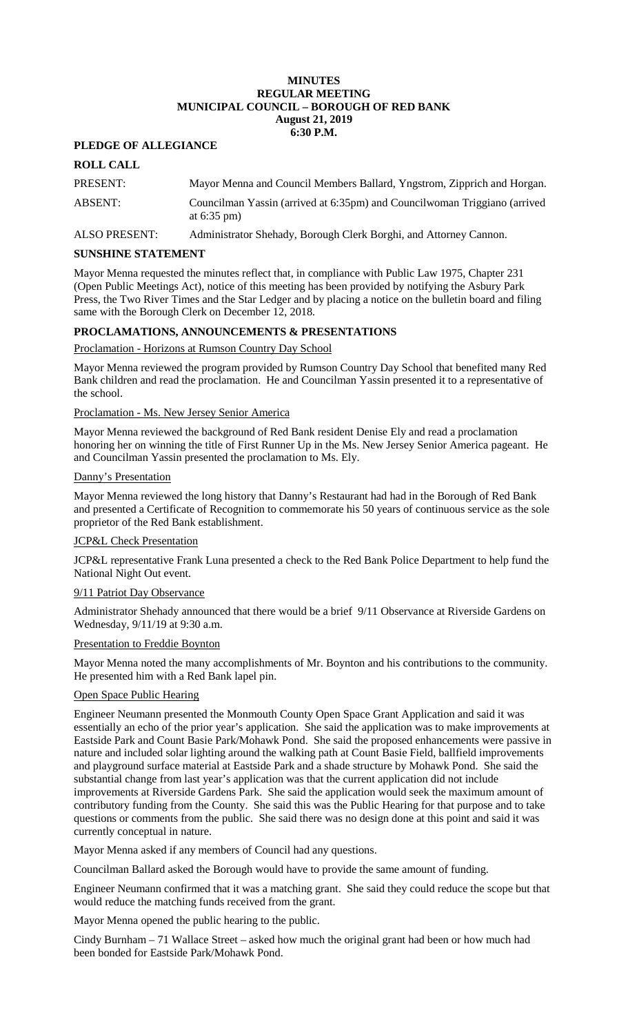### **MINUTES REGULAR MEETING MUNICIPAL COUNCIL – BOROUGH OF RED BANK August 21, 2019 6:30 P.M.**

# **PLEDGE OF ALLEGIANCE**

# **ROLL CALL**

| PRESENT: | Mayor Menna and Council Members Ballard, Yngstrom, Zipprich and Horgan.                             |
|----------|-----------------------------------------------------------------------------------------------------|
| ABSENT:  | Councilman Yassin (arrived at 6:35pm) and Councilwoman Triggiano (arrived<br>at $6:35 \text{ pm}$ ) |

ALSO PRESENT: Administrator Shehady, Borough Clerk Borghi, and Attorney Cannon.

### **SUNSHINE STATEMENT**

Mayor Menna requested the minutes reflect that, in compliance with Public Law 1975, Chapter 231 (Open Public Meetings Act), notice of this meeting has been provided by notifying the Asbury Park Press, the Two River Times and the Star Ledger and by placing a notice on the bulletin board and filing same with the Borough Clerk on December 12, 2018.

# **PROCLAMATIONS, ANNOUNCEMENTS & PRESENTATIONS**

Proclamation - Horizons at Rumson Country Day School

Mayor Menna reviewed the program provided by Rumson Country Day School that benefited many Red Bank children and read the proclamation. He and Councilman Yassin presented it to a representative of the school.

### Proclamation - Ms. New Jersey Senior America

Mayor Menna reviewed the background of Red Bank resident Denise Ely and read a proclamation honoring her on winning the title of First Runner Up in the Ms. New Jersey Senior America pageant. He and Councilman Yassin presented the proclamation to Ms. Ely.

### Danny's Presentation

Mayor Menna reviewed the long history that Danny's Restaurant had had in the Borough of Red Bank and presented a Certificate of Recognition to commemorate his 50 years of continuous service as the sole proprietor of the Red Bank establishment.

# JCP&L Check Presentation

JCP&L representative Frank Luna presented a check to the Red Bank Police Department to help fund the National Night Out event.

# 9/11 Patriot Day Observance

Administrator Shehady announced that there would be a brief 9/11 Observance at Riverside Gardens on Wednesday, 9/11/19 at 9:30 a.m.

# Presentation to Freddie Boynton

Mayor Menna noted the many accomplishments of Mr. Boynton and his contributions to the community. He presented him with a Red Bank lapel pin.

# Open Space Public Hearing

Engineer Neumann presented the Monmouth County Open Space Grant Application and said it was essentially an echo of the prior year's application. She said the application was to make improvements at Eastside Park and Count Basie Park/Mohawk Pond. She said the proposed enhancements were passive in nature and included solar lighting around the walking path at Count Basie Field, ballfield improvements and playground surface material at Eastside Park and a shade structure by Mohawk Pond. She said the substantial change from last year's application was that the current application did not include improvements at Riverside Gardens Park. She said the application would seek the maximum amount of contributory funding from the County. She said this was the Public Hearing for that purpose and to take questions or comments from the public. She said there was no design done at this point and said it was currently conceptual in nature.

Mayor Menna asked if any members of Council had any questions.

Councilman Ballard asked the Borough would have to provide the same amount of funding.

Engineer Neumann confirmed that it was a matching grant. She said they could reduce the scope but that would reduce the matching funds received from the grant.

Mayor Menna opened the public hearing to the public.

Cindy Burnham – 71 Wallace Street – asked how much the original grant had been or how much had been bonded for Eastside Park/Mohawk Pond.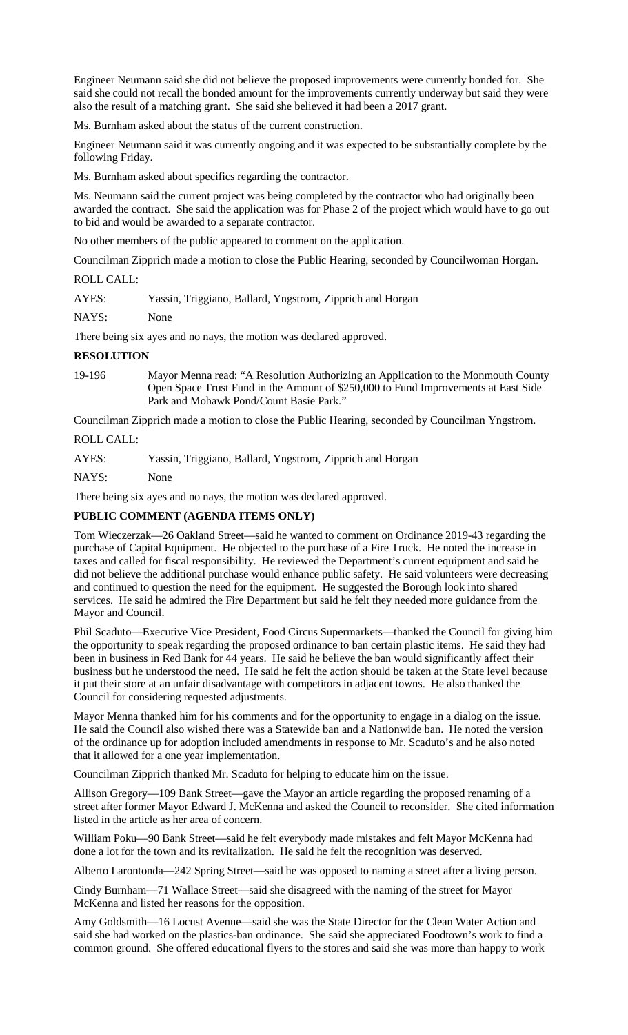Engineer Neumann said she did not believe the proposed improvements were currently bonded for. She said she could not recall the bonded amount for the improvements currently underway but said they were also the result of a matching grant. She said she believed it had been a 2017 grant.

Ms. Burnham asked about the status of the current construction.

Engineer Neumann said it was currently ongoing and it was expected to be substantially complete by the following Friday.

Ms. Burnham asked about specifics regarding the contractor.

Ms. Neumann said the current project was being completed by the contractor who had originally been awarded the contract. She said the application was for Phase 2 of the project which would have to go out to bid and would be awarded to a separate contractor.

No other members of the public appeared to comment on the application.

Councilman Zipprich made a motion to close the Public Hearing, seconded by Councilwoman Horgan.

ROLL CALL:

AYES: Yassin, Triggiano, Ballard, Yngstrom, Zipprich and Horgan

NAYS: None

There being six ayes and no nays, the motion was declared approved.

# **RESOLUTION**

19-196 Mayor Menna read: "A Resolution Authorizing an Application to the Monmouth County Open Space Trust Fund in the Amount of \$250,000 to Fund Improvements at East Side Park and Mohawk Pond/Count Basie Park."

Councilman Zipprich made a motion to close the Public Hearing, seconded by Councilman Yngstrom.

ROLL CALL:

AYES: Yassin, Triggiano, Ballard, Yngstrom, Zipprich and Horgan

NAYS: None

There being six ayes and no nays, the motion was declared approved.

# **PUBLIC COMMENT (AGENDA ITEMS ONLY)**

Tom Wieczerzak—26 Oakland Street—said he wanted to comment on Ordinance 2019-43 regarding the purchase of Capital Equipment. He objected to the purchase of a Fire Truck. He noted the increase in taxes and called for fiscal responsibility. He reviewed the Department's current equipment and said he did not believe the additional purchase would enhance public safety. He said volunteers were decreasing and continued to question the need for the equipment. He suggested the Borough look into shared services. He said he admired the Fire Department but said he felt they needed more guidance from the Mayor and Council.

Phil Scaduto—Executive Vice President, Food Circus Supermarkets—thanked the Council for giving him the opportunity to speak regarding the proposed ordinance to ban certain plastic items. He said they had been in business in Red Bank for 44 years. He said he believe the ban would significantly affect their business but he understood the need. He said he felt the action should be taken at the State level because it put their store at an unfair disadvantage with competitors in adjacent towns. He also thanked the Council for considering requested adjustments.

Mayor Menna thanked him for his comments and for the opportunity to engage in a dialog on the issue. He said the Council also wished there was a Statewide ban and a Nationwide ban. He noted the version of the ordinance up for adoption included amendments in response to Mr. Scaduto's and he also noted that it allowed for a one year implementation.

Councilman Zipprich thanked Mr. Scaduto for helping to educate him on the issue.

Allison Gregory—109 Bank Street—gave the Mayor an article regarding the proposed renaming of a street after former Mayor Edward J. McKenna and asked the Council to reconsider. She cited information listed in the article as her area of concern.

William Poku—90 Bank Street—said he felt everybody made mistakes and felt Mayor McKenna had done a lot for the town and its revitalization. He said he felt the recognition was deserved.

Alberto Larontonda—242 Spring Street—said he was opposed to naming a street after a living person.

Cindy Burnham—71 Wallace Street—said she disagreed with the naming of the street for Mayor McKenna and listed her reasons for the opposition.

Amy Goldsmith—16 Locust Avenue—said she was the State Director for the Clean Water Action and said she had worked on the plastics-ban ordinance. She said she appreciated Foodtown's work to find a common ground. She offered educational flyers to the stores and said she was more than happy to work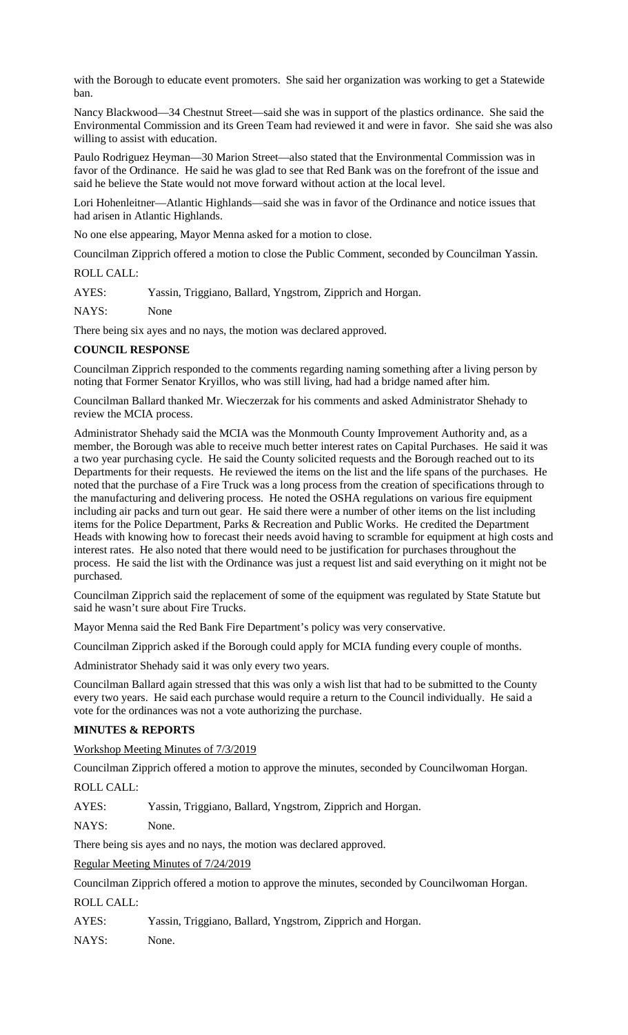with the Borough to educate event promoters. She said her organization was working to get a Statewide ban.

Nancy Blackwood—34 Chestnut Street—said she was in support of the plastics ordinance. She said the Environmental Commission and its Green Team had reviewed it and were in favor. She said she was also willing to assist with education.

Paulo Rodriguez Heyman—30 Marion Street—also stated that the Environmental Commission was in favor of the Ordinance. He said he was glad to see that Red Bank was on the forefront of the issue and said he believe the State would not move forward without action at the local level.

Lori Hohenleitner—Atlantic Highlands—said she was in favor of the Ordinance and notice issues that had arisen in Atlantic Highlands.

No one else appearing, Mayor Menna asked for a motion to close.

Councilman Zipprich offered a motion to close the Public Comment, seconded by Councilman Yassin.

ROLL CALL:

AYES: Yassin, Triggiano, Ballard, Yngstrom, Zipprich and Horgan.

NAYS: None

There being six ayes and no nays, the motion was declared approved.

# **COUNCIL RESPONSE**

Councilman Zipprich responded to the comments regarding naming something after a living person by noting that Former Senator Kryillos, who was still living, had had a bridge named after him.

Councilman Ballard thanked Mr. Wieczerzak for his comments and asked Administrator Shehady to review the MCIA process.

Administrator Shehady said the MCIA was the Monmouth County Improvement Authority and, as a member, the Borough was able to receive much better interest rates on Capital Purchases. He said it was a two year purchasing cycle. He said the County solicited requests and the Borough reached out to its Departments for their requests. He reviewed the items on the list and the life spans of the purchases. He noted that the purchase of a Fire Truck was a long process from the creation of specifications through to the manufacturing and delivering process. He noted the OSHA regulations on various fire equipment including air packs and turn out gear. He said there were a number of other items on the list including items for the Police Department, Parks & Recreation and Public Works. He credited the Department Heads with knowing how to forecast their needs avoid having to scramble for equipment at high costs and interest rates. He also noted that there would need to be justification for purchases throughout the process. He said the list with the Ordinance was just a request list and said everything on it might not be purchased.

Councilman Zipprich said the replacement of some of the equipment was regulated by State Statute but said he wasn't sure about Fire Trucks.

Mayor Menna said the Red Bank Fire Department's policy was very conservative.

Councilman Zipprich asked if the Borough could apply for MCIA funding every couple of months.

Administrator Shehady said it was only every two years.

Councilman Ballard again stressed that this was only a wish list that had to be submitted to the County every two years. He said each purchase would require a return to the Council individually. He said a vote for the ordinances was not a vote authorizing the purchase.

# **MINUTES & REPORTS**

Workshop Meeting Minutes of 7/3/2019

Councilman Zipprich offered a motion to approve the minutes, seconded by Councilwoman Horgan.

ROLL CALL:

AYES: Yassin, Triggiano, Ballard, Yngstrom, Zipprich and Horgan.

NAYS: None.

There being sis ayes and no nays, the motion was declared approved.

Regular Meeting Minutes of 7/24/2019

Councilman Zipprich offered a motion to approve the minutes, seconded by Councilwoman Horgan. ROLL CALL:

AYES: Yassin, Triggiano, Ballard, Yngstrom, Zipprich and Horgan.

NAYS: None.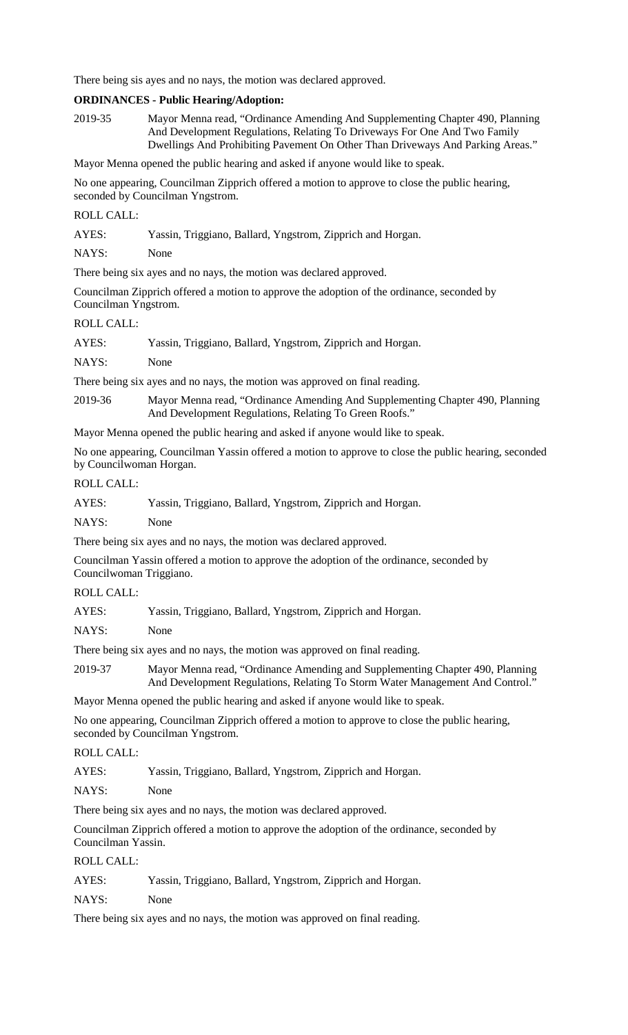There being sis ayes and no nays, the motion was declared approved.

### **ORDINANCES - Public Hearing/Adoption:**

2019-35 Mayor Menna read, "Ordinance Amending And Supplementing Chapter 490, Planning And Development Regulations, Relating To Driveways For One And Two Family Dwellings And Prohibiting Pavement On Other Than Driveways And Parking Areas."

Mayor Menna opened the public hearing and asked if anyone would like to speak.

No one appearing, Councilman Zipprich offered a motion to approve to close the public hearing, seconded by Councilman Yngstrom.

# ROLL CALL:

AYES: Yassin, Triggiano, Ballard, Yngstrom, Zipprich and Horgan.

NAYS: None

There being six ayes and no nays, the motion was declared approved.

Councilman Zipprich offered a motion to approve the adoption of the ordinance, seconded by Councilman Yngstrom.

# ROLL CALL:

| AYES: | Yassin, Triggiano, Ballard, Yngstrom, Zipprich and Horgan. |
|-------|------------------------------------------------------------|
|-------|------------------------------------------------------------|

NAYS: None

There being six ayes and no nays, the motion was approved on final reading.

2019-36 Mayor Menna read, "Ordinance Amending And Supplementing Chapter 490, Planning And Development Regulations, Relating To Green Roofs."

Mayor Menna opened the public hearing and asked if anyone would like to speak.

No one appearing, Councilman Yassin offered a motion to approve to close the public hearing, seconded by Councilwoman Horgan.

# ROLL CALL:

| AYES: |  |  | Yassin, Triggiano, Ballard, Yngstrom, Zipprich and Horgan. |
|-------|--|--|------------------------------------------------------------|
|-------|--|--|------------------------------------------------------------|

NAYS: None

There being six ayes and no nays, the motion was declared approved.

Councilman Yassin offered a motion to approve the adoption of the ordinance, seconded by Councilwoman Triggiano.

### ROLL CALL:

AYES: Yassin, Triggiano, Ballard, Yngstrom, Zipprich and Horgan.

NAYS: None

There being six ayes and no nays, the motion was approved on final reading.

2019-37 Mayor Menna read, "Ordinance Amending and Supplementing Chapter 490, Planning And Development Regulations, Relating To Storm Water Management And Control."

Mayor Menna opened the public hearing and asked if anyone would like to speak.

No one appearing, Councilman Zipprich offered a motion to approve to close the public hearing, seconded by Councilman Yngstrom.

# ROLL CALL:

AYES: Yassin, Triggiano, Ballard, Yngstrom, Zipprich and Horgan.

NAYS: None

There being six ayes and no nays, the motion was declared approved.

Councilman Zipprich offered a motion to approve the adoption of the ordinance, seconded by Councilman Yassin.

ROLL CALL:

| AYES: |  |  | Yassin, Triggiano, Ballard, Yngstrom, Zipprich and Horgan. |
|-------|--|--|------------------------------------------------------------|
|-------|--|--|------------------------------------------------------------|

NAYS: None

There being six ayes and no nays, the motion was approved on final reading.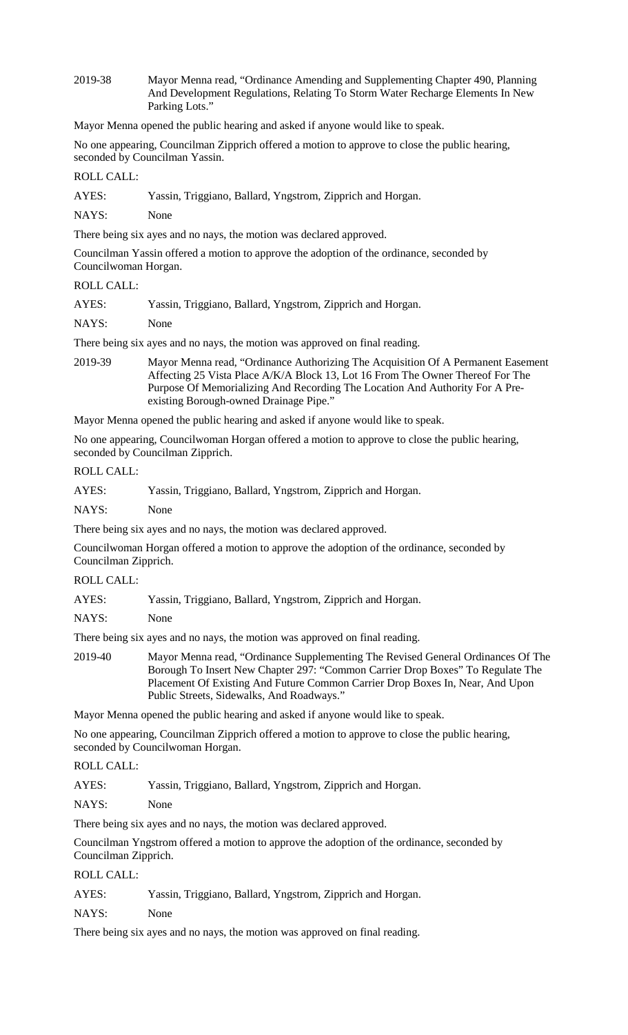2019-38 Mayor Menna read, "Ordinance Amending and Supplementing Chapter 490, Planning And Development Regulations, Relating To Storm Water Recharge Elements In New Parking Lots."

Mayor Menna opened the public hearing and asked if anyone would like to speak.

No one appearing, Councilman Zipprich offered a motion to approve to close the public hearing, seconded by Councilman Yassin.

# ROLL CALL:

AYES: Yassin, Triggiano, Ballard, Yngstrom, Zipprich and Horgan.

NAYS: None

There being six ayes and no nays, the motion was declared approved.

Councilman Yassin offered a motion to approve the adoption of the ordinance, seconded by Councilwoman Horgan.

### ROLL CALL:

| AYES: | Yassin, Triggiano, Ballard, Yngstrom, Zipprich and Horgan. |  |
|-------|------------------------------------------------------------|--|
|-------|------------------------------------------------------------|--|

NAYS: None

There being six ayes and no nays, the motion was approved on final reading.

2019-39 Mayor Menna read, "Ordinance Authorizing The Acquisition Of A Permanent Easement Affecting 25 Vista Place A/K/A Block 13, Lot 16 From The Owner Thereof For The Purpose Of Memorializing And Recording The Location And Authority For A Preexisting Borough-owned Drainage Pipe."

Mayor Menna opened the public hearing and asked if anyone would like to speak.

No one appearing, Councilwoman Horgan offered a motion to approve to close the public hearing, seconded by Councilman Zipprich.

ROLL CALL:

| AYES: |  |  | Yassin, Triggiano, Ballard, Yngstrom, Zipprich and Horgan. |
|-------|--|--|------------------------------------------------------------|
|-------|--|--|------------------------------------------------------------|

NAYS: None

There being six ayes and no nays, the motion was declared approved.

Councilwoman Horgan offered a motion to approve the adoption of the ordinance, seconded by Councilman Zipprich.

ROLL CALL:

AYES: Yassin, Triggiano, Ballard, Yngstrom, Zipprich and Horgan.

NAYS: None

There being six ayes and no nays, the motion was approved on final reading.

2019-40 Mayor Menna read, "Ordinance Supplementing The Revised General Ordinances Of The Borough To Insert New Chapter 297: "Common Carrier Drop Boxes" To Regulate The Placement Of Existing And Future Common Carrier Drop Boxes In, Near, And Upon Public Streets, Sidewalks, And Roadways."

Mayor Menna opened the public hearing and asked if anyone would like to speak.

No one appearing, Councilman Zipprich offered a motion to approve to close the public hearing, seconded by Councilwoman Horgan.

# ROLL CALL:

AYES: Yassin, Triggiano, Ballard, Yngstrom, Zipprich and Horgan.

NAYS: None

There being six ayes and no nays, the motion was declared approved.

Councilman Yngstrom offered a motion to approve the adoption of the ordinance, seconded by Councilman Zipprich.

# ROLL CALL:

| AYES: | Yassin, Triggiano, Ballard, Yngstrom, Zipprich and Horgan. |  |  |
|-------|------------------------------------------------------------|--|--|
|-------|------------------------------------------------------------|--|--|

NAYS: None

There being six ayes and no nays, the motion was approved on final reading.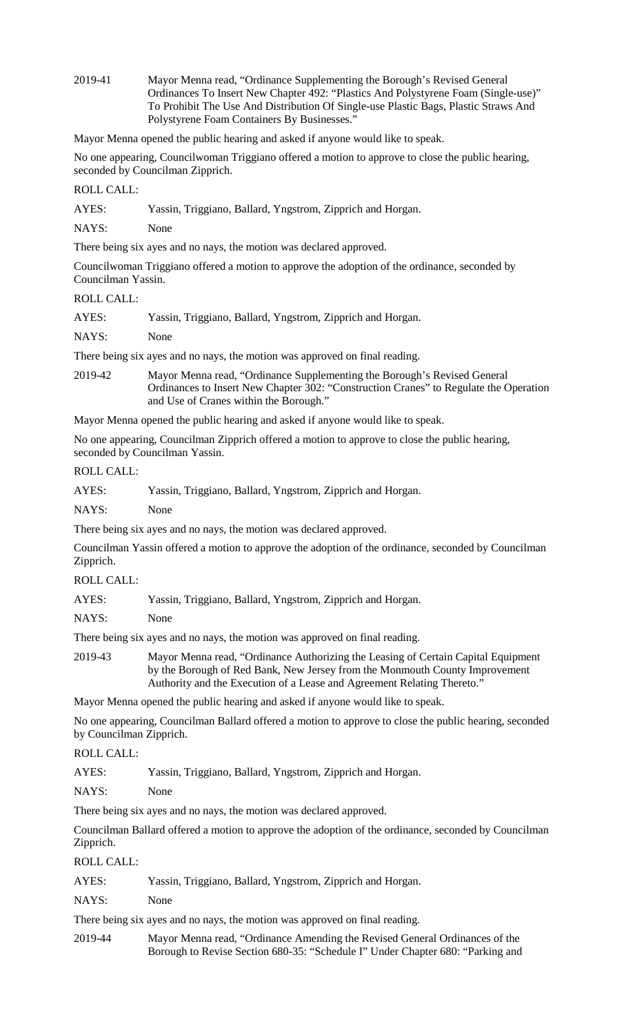2019-41 Mayor Menna read, "Ordinance Supplementing the Borough's Revised General Ordinances To Insert New Chapter 492: "Plastics And Polystyrene Foam (Single-use)" To Prohibit The Use And Distribution Of Single-use Plastic Bags, Plastic Straws And Polystyrene Foam Containers By Businesses."

Mayor Menna opened the public hearing and asked if anyone would like to speak.

No one appearing, Councilwoman Triggiano offered a motion to approve to close the public hearing, seconded by Councilman Zipprich.

ROLL CALL:

| AYES: |  |  | Yassin, Triggiano, Ballard, Yngstrom, Zipprich and Horgan. |
|-------|--|--|------------------------------------------------------------|
|       |  |  |                                                            |

NAYS: None

There being six ayes and no nays, the motion was declared approved.

Councilwoman Triggiano offered a motion to approve the adoption of the ordinance, seconded by Councilman Yassin.

# ROLL CALL:

| AYES: |  |  | Yassin, Triggiano, Ballard, Yngstrom, Zipprich and Horgan. |
|-------|--|--|------------------------------------------------------------|
|       |  |  |                                                            |

NAYS: None

There being six ayes and no nays, the motion was approved on final reading.

2019-42 Mayor Menna read, "Ordinance Supplementing the Borough's Revised General Ordinances to Insert New Chapter 302: "Construction Cranes" to Regulate the Operation and Use of Cranes within the Borough."

Mayor Menna opened the public hearing and asked if anyone would like to speak.

No one appearing, Councilman Zipprich offered a motion to approve to close the public hearing, seconded by Councilman Yassin.

# ROLL CALL:

| AYES: | Yassin, Triggiano, Ballard, Yngstrom, Zipprich and Horgan. |
|-------|------------------------------------------------------------|
| NAYS: | None                                                       |

There being six ayes and no nays, the motion was declared approved.

Councilman Yassin offered a motion to approve the adoption of the ordinance, seconded by Councilman Zipprich.

ROLL CALL:

| AYES: |  |  | Yassin, Triggiano, Ballard, Yngstrom, Zipprich and Horgan. |
|-------|--|--|------------------------------------------------------------|
|       |  |  |                                                            |

NAYS: None

There being six ayes and no nays, the motion was approved on final reading.

2019-43 Mayor Menna read, "Ordinance Authorizing the Leasing of Certain Capital Equipment by the Borough of Red Bank, New Jersey from the Monmouth County Improvement Authority and the Execution of a Lease and Agreement Relating Thereto."

Mayor Menna opened the public hearing and asked if anyone would like to speak.

No one appearing, Councilman Ballard offered a motion to approve to close the public hearing, seconded by Councilman Zipprich.

#### ROLL CALL:

AYES: Yassin, Triggiano, Ballard, Yngstrom, Zipprich and Horgan.

NAYS: None

There being six ayes and no nays, the motion was declared approved.

Councilman Ballard offered a motion to approve the adoption of the ordinance, seconded by Councilman Zipprich.

ROLL CALL:

AYES: Yassin, Triggiano, Ballard, Yngstrom, Zipprich and Horgan.

NAYS: None

There being six ayes and no nays, the motion was approved on final reading.

2019-44 Mayor Menna read, "Ordinance Amending the Revised General Ordinances of the Borough to Revise Section 680-35: "Schedule I" Under Chapter 680: "Parking and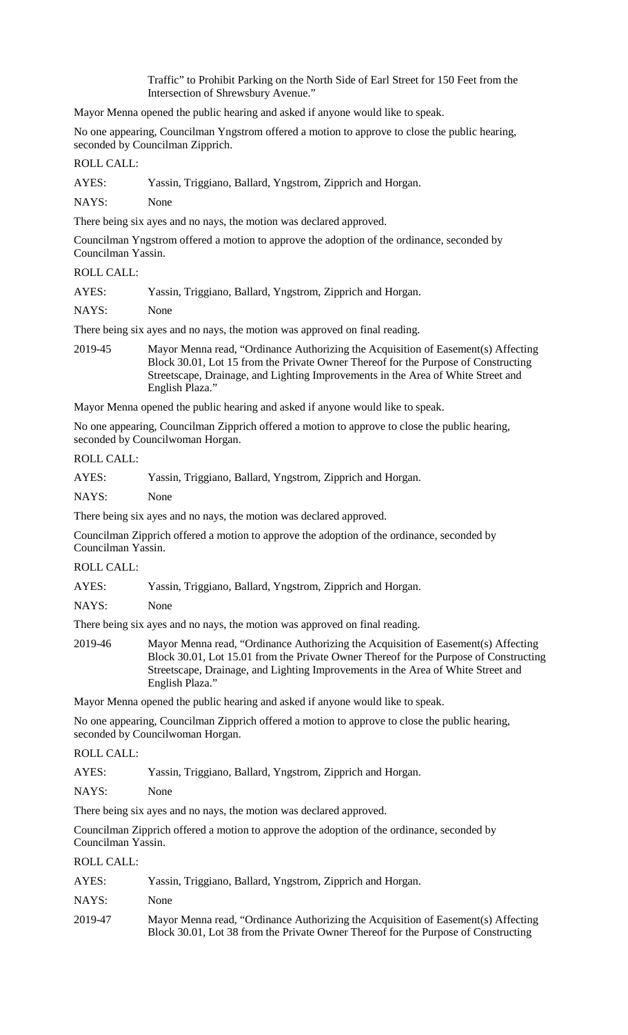Traffic" to Prohibit Parking on the North Side of Earl Street for 150 Feet from the Intersection of Shrewsbury Avenue."

Mayor Menna opened the public hearing and asked if anyone would like to speak.

No one appearing, Councilman Yngstrom offered a motion to approve to close the public hearing, seconded by Councilman Zipprich.

#### ROLL CALL:

AYES: Yassin, Triggiano, Ballard, Yngstrom, Zipprich and Horgan.

NAYS: None

There being six ayes and no nays, the motion was declared approved.

Councilman Yngstrom offered a motion to approve the adoption of the ordinance, seconded by Councilman Yassin.

# ROLL CALL:

| AYES:<br>Yassin, Triggiano, Ballard, Yngstrom, Zipprich and Horgan. |  |
|---------------------------------------------------------------------|--|
|---------------------------------------------------------------------|--|

NAYS: None

There being six ayes and no nays, the motion was approved on final reading.

2019-45 Mayor Menna read, "Ordinance Authorizing the Acquisition of Easement(s) Affecting Block 30.01, Lot 15 from the Private Owner Thereof for the Purpose of Constructing Streetscape, Drainage, and Lighting Improvements in the Area of White Street and English Plaza."

Mayor Menna opened the public hearing and asked if anyone would like to speak.

No one appearing, Councilman Zipprich offered a motion to approve to close the public hearing, seconded by Councilwoman Horgan.

#### ROLL CALL:

| AYES: |  |  | Yassin, Triggiano, Ballard, Yngstrom, Zipprich and Horgan. |
|-------|--|--|------------------------------------------------------------|
|-------|--|--|------------------------------------------------------------|

NAYS: None

There being six ayes and no nays, the motion was declared approved.

Councilman Zipprich offered a motion to approve the adoption of the ordinance, seconded by Councilman Yassin.

ROLL CALL:

| AYES: |  |  | Yassin, Triggiano, Ballard, Yngstrom, Zipprich and Horgan. |
|-------|--|--|------------------------------------------------------------|
|       |  |  |                                                            |

NAYS: None

There being six ayes and no nays, the motion was approved on final reading.

2019-46 Mayor Menna read, "Ordinance Authorizing the Acquisition of Easement(s) Affecting Block 30.01, Lot 15.01 from the Private Owner Thereof for the Purpose of Constructing Streetscape, Drainage, and Lighting Improvements in the Area of White Street and English Plaza."

Mayor Menna opened the public hearing and asked if anyone would like to speak.

No one appearing, Councilman Zipprich offered a motion to approve to close the public hearing, seconded by Councilwoman Horgan.

#### ROLL CALL:

AYES: Yassin, Triggiano, Ballard, Yngstrom, Zipprich and Horgan.

NAYS: None

There being six ayes and no nays, the motion was declared approved.

Councilman Zipprich offered a motion to approve the adoption of the ordinance, seconded by Councilman Yassin.

ROLL CALL:

| AYES:   | Yassin, Triggiano, Ballard, Yngstrom, Zipprich and Horgan.                                                                                                              |
|---------|-------------------------------------------------------------------------------------------------------------------------------------------------------------------------|
| NAYS:   | <b>None</b>                                                                                                                                                             |
| 2019-47 | Mayor Menna read, "Ordinance Authorizing the Acquisition of Easement(s) Affecting<br>Block 30.01, Lot 38 from the Private Owner Thereof for the Purpose of Constructing |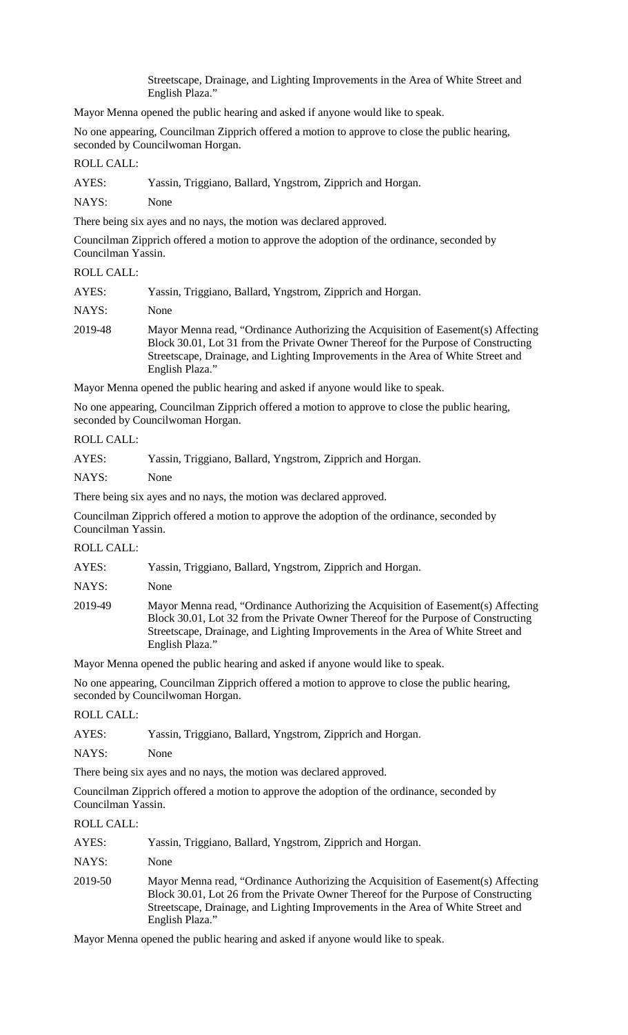Streetscape, Drainage, and Lighting Improvements in the Area of White Street and English Plaza."

Mayor Menna opened the public hearing and asked if anyone would like to speak.

No one appearing, Councilman Zipprich offered a motion to approve to close the public hearing, seconded by Councilwoman Horgan.

#### ROLL CALL:

| AYES: |  |  |  | Yassin, Triggiano, Ballard, Yngstrom, Zipprich and Horgan. |
|-------|--|--|--|------------------------------------------------------------|
|       |  |  |  |                                                            |

NAYS: None

There being six ayes and no nays, the motion was declared approved.

Councilman Zipprich offered a motion to approve the adoption of the ordinance, seconded by Councilman Yassin.

#### ROLL CALL:

| AYES:   | Yassin, Triggiano, Ballard, Yngstrom, Zipprich and Horgan.                                                                                                                                                                                                                     |
|---------|--------------------------------------------------------------------------------------------------------------------------------------------------------------------------------------------------------------------------------------------------------------------------------|
| NAYS:   | None                                                                                                                                                                                                                                                                           |
| 2019-48 | Mayor Menna read, "Ordinance Authorizing the Acquisition of Easement(s) Affecting<br>Block 30.01, Lot 31 from the Private Owner Thereof for the Purpose of Constructing<br>Streetscape, Drainage, and Lighting Improvements in the Area of White Street and<br>English Plaza." |

Mayor Menna opened the public hearing and asked if anyone would like to speak.

No one appearing, Councilman Zipprich offered a motion to approve to close the public hearing, seconded by Councilwoman Horgan.

### ROLL CALL:

| AYES: | Yassin, Triggiano, Ballard, Yngstrom, Zipprich and Horgan. |
|-------|------------------------------------------------------------|
| NAYS: | None                                                       |

There being six ayes and no nays, the motion was declared approved.

Councilman Zipprich offered a motion to approve the adoption of the ordinance, seconded by Councilman Yassin.

### ROLL CALL:

| AYES:   | Yassin, Triggiano, Ballard, Yngstrom, Zipprich and Horgan.                                                                                                                                                                                                                     |
|---------|--------------------------------------------------------------------------------------------------------------------------------------------------------------------------------------------------------------------------------------------------------------------------------|
| NAYS:   | None                                                                                                                                                                                                                                                                           |
| 2019-49 | Mayor Menna read, "Ordinance Authorizing the Acquisition of Easement(s) Affecting<br>Block 30.01, Lot 32 from the Private Owner Thereof for the Purpose of Constructing<br>Streetscape, Drainage, and Lighting Improvements in the Area of White Street and<br>English Plaza." |

Mayor Menna opened the public hearing and asked if anyone would like to speak.

No one appearing, Councilman Zipprich offered a motion to approve to close the public hearing, seconded by Councilwoman Horgan.

ROLL CALL:

AYES: Yassin, Triggiano, Ballard, Yngstrom, Zipprich and Horgan.

NAYS: None

There being six ayes and no nays, the motion was declared approved.

Councilman Zipprich offered a motion to approve the adoption of the ordinance, seconded by Councilman Yassin.

#### ROLL CALL:

| AYES:   | Yassin, Triggiano, Ballard, Yngstrom, Zipprich and Horgan.                                                                                                                                                                                                                     |
|---------|--------------------------------------------------------------------------------------------------------------------------------------------------------------------------------------------------------------------------------------------------------------------------------|
| NAYS:   | None                                                                                                                                                                                                                                                                           |
| 2019-50 | Mayor Menna read, "Ordinance Authorizing the Acquisition of Easement(s) Affecting<br>Block 30.01, Lot 26 from the Private Owner Thereof for the Purpose of Constructing<br>Streetscape, Drainage, and Lighting Improvements in the Area of White Street and<br>English Plaza." |

Mayor Menna opened the public hearing and asked if anyone would like to speak.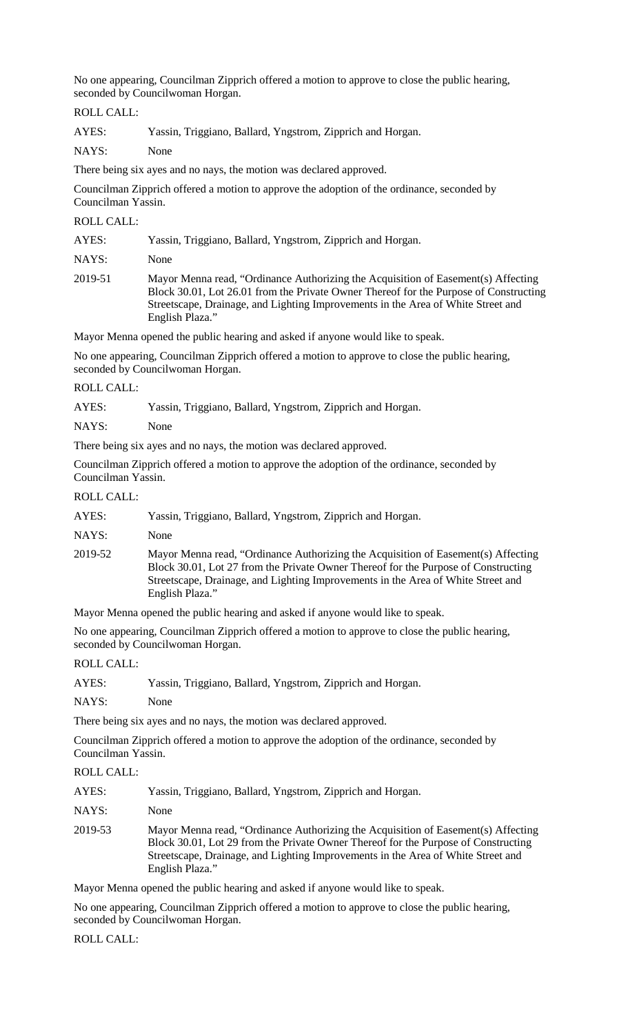No one appearing, Councilman Zipprich offered a motion to approve to close the public hearing, seconded by Councilwoman Horgan.

ROLL CALL:

AYES: Yassin, Triggiano, Ballard, Yngstrom, Zipprich and Horgan.

NAYS: None

There being six ayes and no nays, the motion was declared approved.

Councilman Zipprich offered a motion to approve the adoption of the ordinance, seconded by Councilman Yassin.

ROLL CALL:

| AYES:   | Yassin, Triggiano, Ballard, Yngstrom, Zipprich and Horgan.                                                                                                                                                                                                                        |
|---------|-----------------------------------------------------------------------------------------------------------------------------------------------------------------------------------------------------------------------------------------------------------------------------------|
| NAYS:   | None                                                                                                                                                                                                                                                                              |
| 2019-51 | Mayor Menna read, "Ordinance Authorizing the Acquisition of Easement(s) Affecting<br>Block 30.01, Lot 26.01 from the Private Owner Thereof for the Purpose of Constructing<br>Streetscape, Drainage, and Lighting Improvements in the Area of White Street and<br>English Plaza." |

Mayor Menna opened the public hearing and asked if anyone would like to speak.

No one appearing, Councilman Zipprich offered a motion to approve to close the public hearing, seconded by Councilwoman Horgan.

### ROLL CALL:

AYES: Yassin, Triggiano, Ballard, Yngstrom, Zipprich and Horgan.

NAYS: None

There being six ayes and no nays, the motion was declared approved.

Councilman Zipprich offered a motion to approve the adoption of the ordinance, seconded by Councilman Yassin.

# ROLL CALL:

| AYES: | Yassin, Triggiano, Ballard, Yngstrom, Zipprich and Horgan. |
|-------|------------------------------------------------------------|
|-------|------------------------------------------------------------|

NAYS: None

2019-52 Mayor Menna read, "Ordinance Authorizing the Acquisition of Easement(s) Affecting Block 30.01, Lot 27 from the Private Owner Thereof for the Purpose of Constructing Streetscape, Drainage, and Lighting Improvements in the Area of White Street and English Plaza."

Mayor Menna opened the public hearing and asked if anyone would like to speak.

No one appearing, Councilman Zipprich offered a motion to approve to close the public hearing, seconded by Councilwoman Horgan.

ROLL CALL:

| AYES: |  |  | Yassin, Triggiano, Ballard, Yngstrom, Zipprich and Horgan. |
|-------|--|--|------------------------------------------------------------|
|       |  |  |                                                            |

NAYS: None

There being six ayes and no nays, the motion was declared approved.

Councilman Zipprich offered a motion to approve the adoption of the ordinance, seconded by Councilman Yassin.

ROLL CALL:

| AYES: |  |  | Yassin, Triggiano, Ballard, Yngstrom, Zipprich and Horgan. |
|-------|--|--|------------------------------------------------------------|
|-------|--|--|------------------------------------------------------------|

NAYS: None

2019-53 Mayor Menna read, "Ordinance Authorizing the Acquisition of Easement(s) Affecting Block 30.01, Lot 29 from the Private Owner Thereof for the Purpose of Constructing Streetscape, Drainage, and Lighting Improvements in the Area of White Street and English Plaza."

Mayor Menna opened the public hearing and asked if anyone would like to speak.

No one appearing, Councilman Zipprich offered a motion to approve to close the public hearing, seconded by Councilwoman Horgan.

ROLL CALL: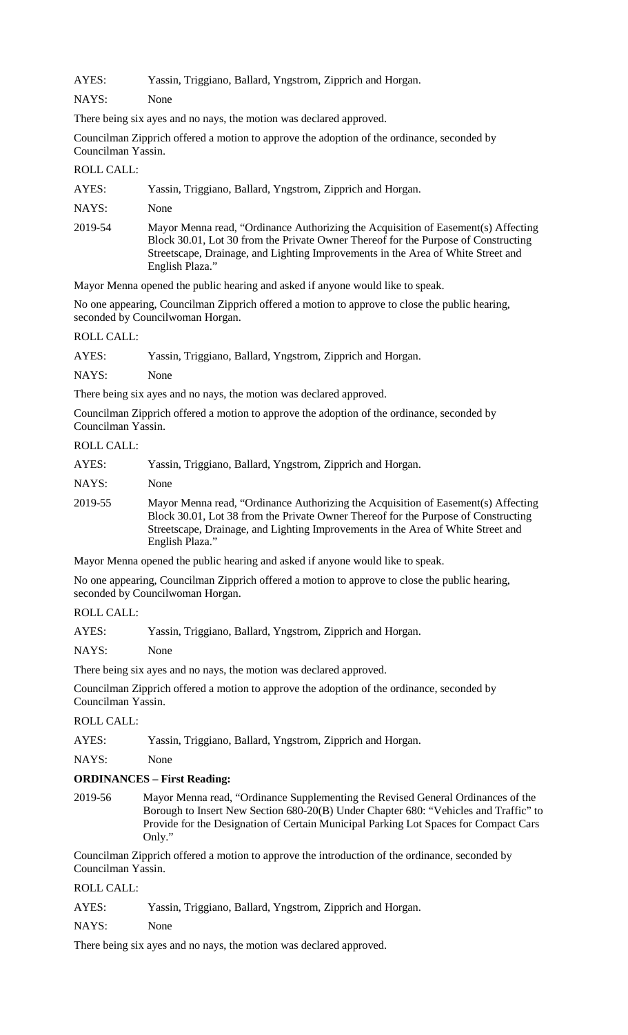AYES: Yassin, Triggiano, Ballard, Yngstrom, Zipprich and Horgan.

NAYS: None

There being six ayes and no nays, the motion was declared approved.

Councilman Zipprich offered a motion to approve the adoption of the ordinance, seconded by Councilman Yassin.

ROLL CALL:

| AYES: |  |  |  | Yassin, Triggiano, Ballard, Yngstrom, Zipprich and Horgan. |
|-------|--|--|--|------------------------------------------------------------|
|       |  |  |  |                                                            |

NAYS: None

2019-54 Mayor Menna read, "Ordinance Authorizing the Acquisition of Easement(s) Affecting Block 30.01, Lot 30 from the Private Owner Thereof for the Purpose of Constructing Streetscape, Drainage, and Lighting Improvements in the Area of White Street and English Plaza."

Mayor Menna opened the public hearing and asked if anyone would like to speak.

No one appearing, Councilman Zipprich offered a motion to approve to close the public hearing, seconded by Councilwoman Horgan.

#### ROLL CALL:

| AYES: |  |  | Yassin, Triggiano, Ballard, Yngstrom, Zipprich and Horgan. |
|-------|--|--|------------------------------------------------------------|
|       |  |  |                                                            |

NAYS: None

There being six ayes and no nays, the motion was declared approved.

Councilman Zipprich offered a motion to approve the adoption of the ordinance, seconded by Councilman Yassin.

# ROLL CALL:

| AYES:   | Yassin, Triggiano, Ballard, Yngstrom, Zipprich and Horgan.                                                                                                                                                                                                                     |
|---------|--------------------------------------------------------------------------------------------------------------------------------------------------------------------------------------------------------------------------------------------------------------------------------|
| NAYS:   | None                                                                                                                                                                                                                                                                           |
| 2019-55 | Mayor Menna read, "Ordinance Authorizing the Acquisition of Easement(s) Affecting<br>Block 30.01, Lot 38 from the Private Owner Thereof for the Purpose of Constructing<br>Streetscape, Drainage, and Lighting Improvements in the Area of White Street and<br>English Plaza." |

Mayor Menna opened the public hearing and asked if anyone would like to speak.

No one appearing, Councilman Zipprich offered a motion to approve to close the public hearing, seconded by Councilwoman Horgan.

# ROLL CALL:

AYES: Yassin, Triggiano, Ballard, Yngstrom, Zipprich and Horgan.

NAYS: None

There being six ayes and no nays, the motion was declared approved.

Councilman Zipprich offered a motion to approve the adoption of the ordinance, seconded by Councilman Yassin.

# ROLL CALL:

AYES: Yassin, Triggiano, Ballard, Yngstrom, Zipprich and Horgan.

NAYS: None

# **ORDINANCES – First Reading:**

2019-56 Mayor Menna read, "Ordinance Supplementing the Revised General Ordinances of the Borough to Insert New Section 680-20(B) Under Chapter 680: "Vehicles and Traffic" to Provide for the Designation of Certain Municipal Parking Lot Spaces for Compact Cars Only."

Councilman Zipprich offered a motion to approve the introduction of the ordinance, seconded by Councilman Yassin.

# ROLL CALL:

AYES: Yassin, Triggiano, Ballard, Yngstrom, Zipprich and Horgan.

NAYS: None

There being six ayes and no nays, the motion was declared approved.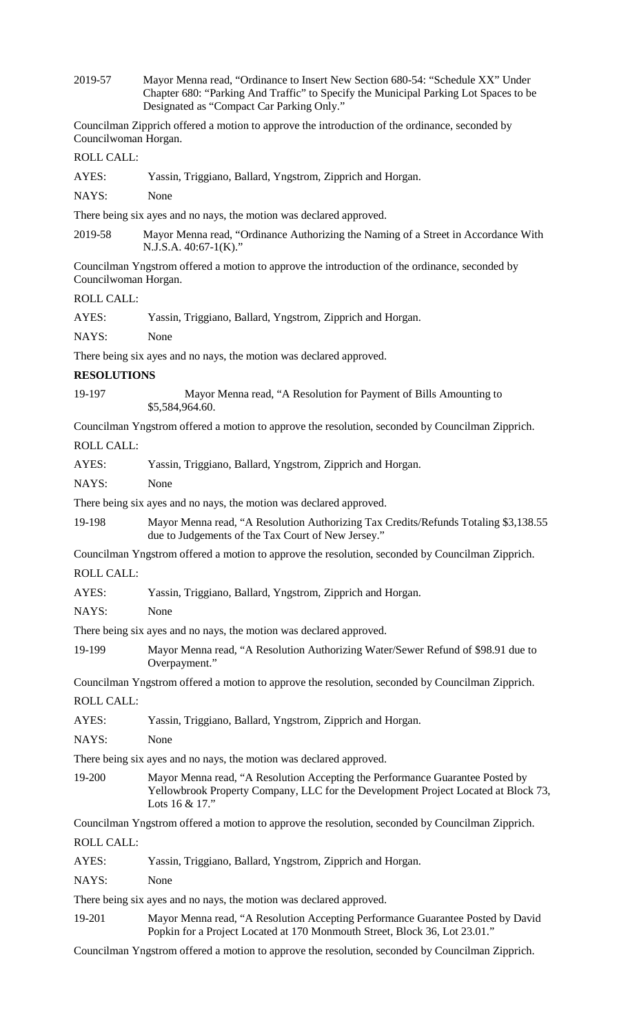2019-57 Mayor Menna read, "Ordinance to Insert New Section 680-54: "Schedule XX" Under Chapter 680: "Parking And Traffic" to Specify the Municipal Parking Lot Spaces to be Designated as "Compact Car Parking Only."

Councilman Zipprich offered a motion to approve the introduction of the ordinance, seconded by Councilwoman Horgan.

# ROLL CALL:

AYES: Yassin, Triggiano, Ballard, Yngstrom, Zipprich and Horgan.

NAYS: None

There being six ayes and no nays, the motion was declared approved.

2019-58 Mayor Menna read, "Ordinance Authorizing the Naming of a Street in Accordance With N.J.S.A. 40:67-1(K)."

Councilman Yngstrom offered a motion to approve the introduction of the ordinance, seconded by Councilwoman Horgan.

# $R$  $($

| <b>ROLL CALL:</b>  |                                                                                                                                                                                          |  |  |  |  |
|--------------------|------------------------------------------------------------------------------------------------------------------------------------------------------------------------------------------|--|--|--|--|
| AYES:              | Yassin, Triggiano, Ballard, Yngstrom, Zipprich and Horgan.                                                                                                                               |  |  |  |  |
| NAYS:              | None                                                                                                                                                                                     |  |  |  |  |
|                    | There being six ayes and no nays, the motion was declared approved.                                                                                                                      |  |  |  |  |
| <b>RESOLUTIONS</b> |                                                                                                                                                                                          |  |  |  |  |
| 19-197             | Mayor Menna read, "A Resolution for Payment of Bills Amounting to<br>\$5,584,964.60.                                                                                                     |  |  |  |  |
|                    | Councilman Yngstrom offered a motion to approve the resolution, seconded by Councilman Zipprich.                                                                                         |  |  |  |  |
| <b>ROLL CALL:</b>  |                                                                                                                                                                                          |  |  |  |  |
| AYES:              | Yassin, Triggiano, Ballard, Yngstrom, Zipprich and Horgan.                                                                                                                               |  |  |  |  |
| NAYS:              | None                                                                                                                                                                                     |  |  |  |  |
|                    | There being six ayes and no nays, the motion was declared approved.                                                                                                                      |  |  |  |  |
| 19-198             | Mayor Menna read, "A Resolution Authorizing Tax Credits/Refunds Totaling \$3,138.55<br>due to Judgements of the Tax Court of New Jersey."                                                |  |  |  |  |
|                    | Councilman Yngstrom offered a motion to approve the resolution, seconded by Councilman Zipprich.                                                                                         |  |  |  |  |
| <b>ROLL CALL:</b>  |                                                                                                                                                                                          |  |  |  |  |
| AYES:              | Yassin, Triggiano, Ballard, Yngstrom, Zipprich and Horgan.                                                                                                                               |  |  |  |  |
| NAYS:              | None                                                                                                                                                                                     |  |  |  |  |
|                    | There being six ayes and no nays, the motion was declared approved.                                                                                                                      |  |  |  |  |
| 19-199             | Mayor Menna read, "A Resolution Authorizing Water/Sewer Refund of \$98.91 due to<br>Overpayment."                                                                                        |  |  |  |  |
|                    | Councilman Yngstrom offered a motion to approve the resolution, seconded by Councilman Zipprich.                                                                                         |  |  |  |  |
| <b>ROLL CALL:</b>  |                                                                                                                                                                                          |  |  |  |  |
| AYES:              | Yassin, Triggiano, Ballard, Yngstrom, Zipprich and Horgan.                                                                                                                               |  |  |  |  |
| NAYS:              | None                                                                                                                                                                                     |  |  |  |  |
|                    | There being six ayes and no nays, the motion was declared approved.                                                                                                                      |  |  |  |  |
| 19-200             | Mayor Menna read, "A Resolution Accepting the Performance Guarantee Posted by<br>Yellowbrook Property Company, LLC for the Development Project Located at Block 73,<br>Lots $16 & 17$ ." |  |  |  |  |
|                    | Councilman Yngstrom offered a motion to approve the resolution, seconded by Councilman Zipprich.                                                                                         |  |  |  |  |
| <b>ROLL CALL:</b>  |                                                                                                                                                                                          |  |  |  |  |
| AYES:              | Yassin, Triggiano, Ballard, Yngstrom, Zipprich and Horgan.                                                                                                                               |  |  |  |  |
| NAYS:              | None                                                                                                                                                                                     |  |  |  |  |
|                    | There being six ayes and no nays, the motion was declared approved.                                                                                                                      |  |  |  |  |
| 19-201             | Mayor Menna read, "A Resolution Accepting Performance Guarantee Posted by David<br>Popkin for a Project Located at 170 Monmouth Street, Block 36, Lot 23.01."                            |  |  |  |  |
|                    | Councilman Yngstrom offered a motion to approve the resolution, seconded by Councilman Zipprich.                                                                                         |  |  |  |  |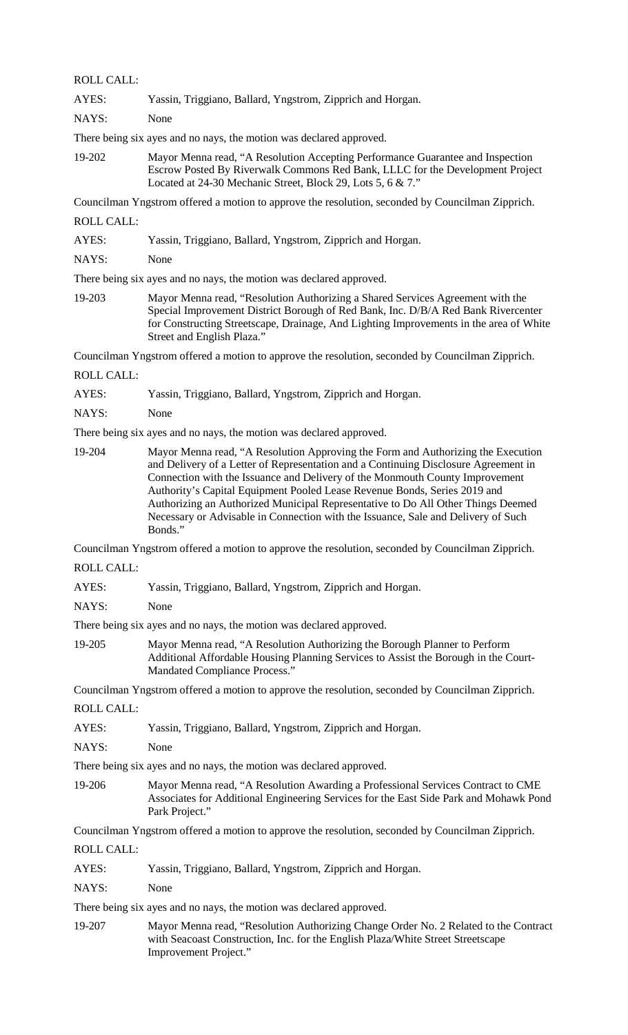ROLL CALL:

AYES: Yassin, Triggiano, Ballard, Yngstrom, Zipprich and Horgan.

NAYS: None

There being six ayes and no nays, the motion was declared approved.

19-202 Mayor Menna read, "A Resolution Accepting Performance Guarantee and Inspection Escrow Posted By Riverwalk Commons Red Bank, LLLC for the Development Project Located at 24-30 Mechanic Street, Block 29, Lots 5, 6 & 7."

Councilman Yngstrom offered a motion to approve the resolution, seconded by Councilman Zipprich.

ROLL CALL:

| AYES: |  | Yassin, Triggiano, Ballard, Yngstrom, Zipprich and Horgan. |
|-------|--|------------------------------------------------------------|
|       |  |                                                            |

NAYS: None

There being six ayes and no nays, the motion was declared approved.

19-203 Mayor Menna read, "Resolution Authorizing a Shared Services Agreement with the Special Improvement District Borough of Red Bank, Inc. D/B/A Red Bank Rivercenter for Constructing Streetscape, Drainage, And Lighting Improvements in the area of White Street and English Plaza."

Councilman Yngstrom offered a motion to approve the resolution, seconded by Councilman Zipprich.

ROLL CALL:

AYES: Yassin, Triggiano, Ballard, Yngstrom, Zipprich and Horgan.

NAYS: None

There being six ayes and no nays, the motion was declared approved.

19-204 Mayor Menna read, "A Resolution Approving the Form and Authorizing the Execution and Delivery of a Letter of Representation and a Continuing Disclosure Agreement in Connection with the Issuance and Delivery of the Monmouth County Improvement Authority's Capital Equipment Pooled Lease Revenue Bonds, Series 2019 and Authorizing an Authorized Municipal Representative to Do All Other Things Deemed Necessary or Advisable in Connection with the Issuance, Sale and Delivery of Such Bonds."

Councilman Yngstrom offered a motion to approve the resolution, seconded by Councilman Zipprich.

ROLL CALL:

AYES: Yassin, Triggiano, Ballard, Yngstrom, Zipprich and Horgan.

NAYS: None

There being six ayes and no nays, the motion was declared approved.

19-205 Mayor Menna read, "A Resolution Authorizing the Borough Planner to Perform Additional Affordable Housing Planning Services to Assist the Borough in the Court-Mandated Compliance Process."

Councilman Yngstrom offered a motion to approve the resolution, seconded by Councilman Zipprich.

ROLL CALL:

| AYES: | Yassin, Triggiano, Ballard, Yngstrom, Zipprich and Horgan. |
|-------|------------------------------------------------------------|
|-------|------------------------------------------------------------|

NAYS: None

There being six ayes and no nays, the motion was declared approved.

19-206 Mayor Menna read, "A Resolution Awarding a Professional Services Contract to CME Associates for Additional Engineering Services for the East Side Park and Mohawk Pond Park Project."

Councilman Yngstrom offered a motion to approve the resolution, seconded by Councilman Zipprich.

ROLL CALL:

AYES: Yassin, Triggiano, Ballard, Yngstrom, Zipprich and Horgan.

NAYS: None

There being six ayes and no nays, the motion was declared approved.

19-207 Mayor Menna read, "Resolution Authorizing Change Order No. 2 Related to the Contract with Seacoast Construction, Inc. for the English Plaza/White Street Streetscape Improvement Project."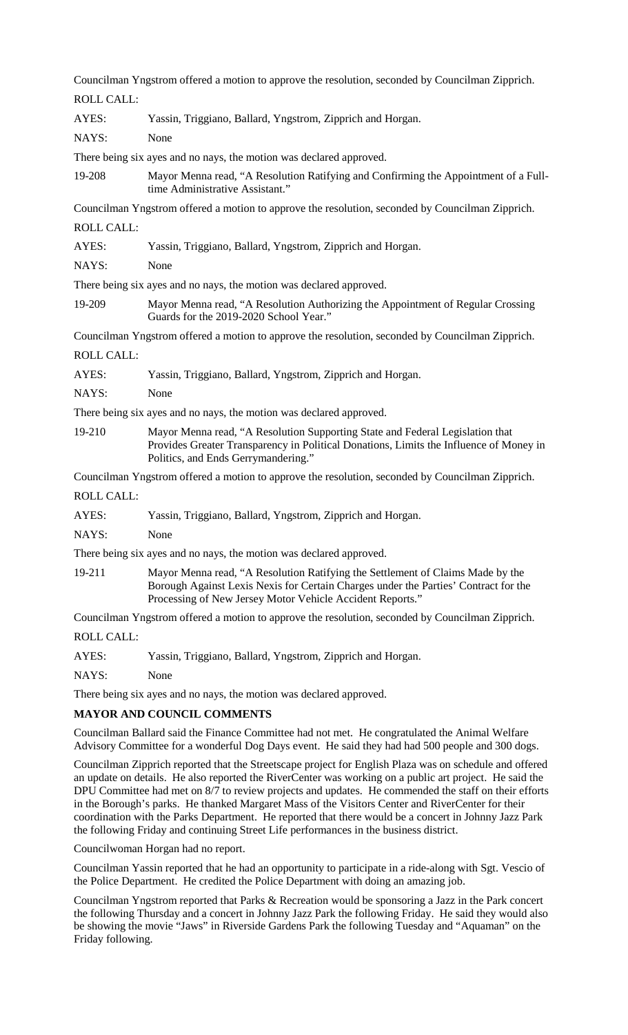Councilman Yngstrom offered a motion to approve the resolution, seconded by Councilman Zipprich.

ROLL CALL: AYES: Yassin, Triggiano, Ballard, Yngstrom, Zipprich and Horgan. NAYS: None There being six ayes and no nays, the motion was declared approved. 19-208 Mayor Menna read, "A Resolution Ratifying and Confirming the Appointment of a Fulltime Administrative Assistant." Councilman Yngstrom offered a motion to approve the resolution, seconded by Councilman Zipprich. ROLL CALL: AYES: Yassin, Triggiano, Ballard, Yngstrom, Zipprich and Horgan. NAYS: None There being six ayes and no nays, the motion was declared approved. 19-209 Mayor Menna read, "A Resolution Authorizing the Appointment of Regular Crossing Guards for the 2019-2020 School Year." Councilman Yngstrom offered a motion to approve the resolution, seconded by Councilman Zipprich. ROLL CALL: AYES: Yassin, Triggiano, Ballard, Yngstrom, Zipprich and Horgan. NAYS: None There being six ayes and no nays, the motion was declared approved. 19-210 Mayor Menna read, "A Resolution Supporting State and Federal Legislation that Provides Greater Transparency in Political Donations, Limits the Influence of Money in Politics, and Ends Gerrymandering." Councilman Yngstrom offered a motion to approve the resolution, seconded by Councilman Zipprich. ROLL CALL: AYES: Yassin, Triggiano, Ballard, Yngstrom, Zipprich and Horgan. NAYS: None There being six ayes and no nays, the motion was declared approved. 19-211 Mayor Menna read, "A Resolution Ratifying the Settlement of Claims Made by the Borough Against Lexis Nexis for Certain Charges under the Parties' Contract for the Processing of New Jersey Motor Vehicle Accident Reports." Councilman Yngstrom offered a motion to approve the resolution, seconded by Councilman Zipprich. ROLL CALL: AYES: Yassin, Triggiano, Ballard, Yngstrom, Zipprich and Horgan.

NAYS: None

There being six ayes and no nays, the motion was declared approved.

# **MAYOR AND COUNCIL COMMENTS**

Councilman Ballard said the Finance Committee had not met. He congratulated the Animal Welfare Advisory Committee for a wonderful Dog Days event. He said they had had 500 people and 300 dogs.

Councilman Zipprich reported that the Streetscape project for English Plaza was on schedule and offered an update on details. He also reported the RiverCenter was working on a public art project. He said the DPU Committee had met on 8/7 to review projects and updates. He commended the staff on their efforts in the Borough's parks. He thanked Margaret Mass of the Visitors Center and RiverCenter for their coordination with the Parks Department. He reported that there would be a concert in Johnny Jazz Park the following Friday and continuing Street Life performances in the business district.

Councilwoman Horgan had no report.

Councilman Yassin reported that he had an opportunity to participate in a ride-along with Sgt. Vescio of the Police Department. He credited the Police Department with doing an amazing job.

Councilman Yngstrom reported that Parks & Recreation would be sponsoring a Jazz in the Park concert the following Thursday and a concert in Johnny Jazz Park the following Friday. He said they would also be showing the movie "Jaws" in Riverside Gardens Park the following Tuesday and "Aquaman" on the Friday following.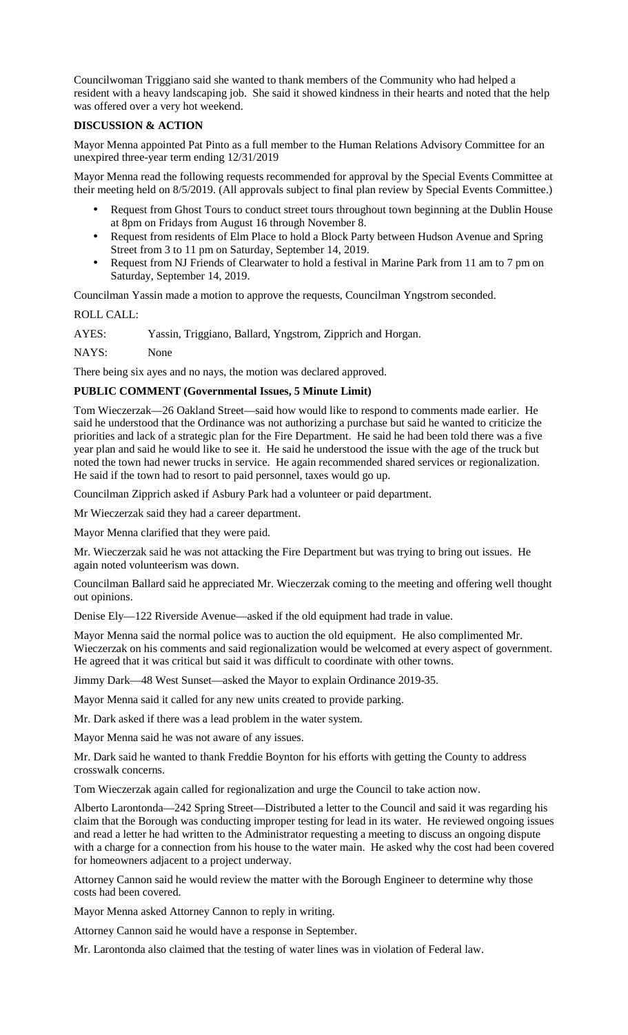Councilwoman Triggiano said she wanted to thank members of the Community who had helped a resident with a heavy landscaping job. She said it showed kindness in their hearts and noted that the help was offered over a very hot weekend.

# **DISCUSSION & ACTION**

Mayor Menna appointed Pat Pinto as a full member to the Human Relations Advisory Committee for an unexpired three-year term ending 12/31/2019

Mayor Menna read the following requests recommended for approval by the Special Events Committee at their meeting held on 8/5/2019. (All approvals subject to final plan review by Special Events Committee.)

- Request from Ghost Tours to conduct street tours throughout town beginning at the Dublin House at 8pm on Fridays from August 16 through November 8.
- Request from residents of Elm Place to hold a Block Party between Hudson Avenue and Spring Street from 3 to 11 pm on Saturday, September 14, 2019.
- Request from NJ Friends of Clearwater to hold a festival in Marine Park from 11 am to 7 pm on Saturday, September 14, 2019.

Councilman Yassin made a motion to approve the requests, Councilman Yngstrom seconded.

ROLL CALL:

AYES: Yassin, Triggiano, Ballard, Yngstrom, Zipprich and Horgan.

NAYS: None

There being six ayes and no nays, the motion was declared approved.

# **PUBLIC COMMENT (Governmental Issues, 5 Minute Limit)**

Tom Wieczerzak—26 Oakland Street—said how would like to respond to comments made earlier. He said he understood that the Ordinance was not authorizing a purchase but said he wanted to criticize the priorities and lack of a strategic plan for the Fire Department. He said he had been told there was a five year plan and said he would like to see it. He said he understood the issue with the age of the truck but noted the town had newer trucks in service. He again recommended shared services or regionalization. He said if the town had to resort to paid personnel, taxes would go up.

Councilman Zipprich asked if Asbury Park had a volunteer or paid department.

Mr Wieczerzak said they had a career department.

Mayor Menna clarified that they were paid.

Mr. Wieczerzak said he was not attacking the Fire Department but was trying to bring out issues. He again noted volunteerism was down.

Councilman Ballard said he appreciated Mr. Wieczerzak coming to the meeting and offering well thought out opinions.

Denise Ely—122 Riverside Avenue—asked if the old equipment had trade in value.

Mayor Menna said the normal police was to auction the old equipment. He also complimented Mr. Wieczerzak on his comments and said regionalization would be welcomed at every aspect of government. He agreed that it was critical but said it was difficult to coordinate with other towns.

Jimmy Dark—48 West Sunset—asked the Mayor to explain Ordinance 2019-35.

Mayor Menna said it called for any new units created to provide parking.

Mr. Dark asked if there was a lead problem in the water system.

Mayor Menna said he was not aware of any issues.

Mr. Dark said he wanted to thank Freddie Boynton for his efforts with getting the County to address crosswalk concerns.

Tom Wieczerzak again called for regionalization and urge the Council to take action now.

Alberto Larontonda—242 Spring Street—Distributed a letter to the Council and said it was regarding his claim that the Borough was conducting improper testing for lead in its water. He reviewed ongoing issues and read a letter he had written to the Administrator requesting a meeting to discuss an ongoing dispute with a charge for a connection from his house to the water main. He asked why the cost had been covered for homeowners adjacent to a project underway.

Attorney Cannon said he would review the matter with the Borough Engineer to determine why those costs had been covered.

Mayor Menna asked Attorney Cannon to reply in writing.

Attorney Cannon said he would have a response in September.

Mr. Larontonda also claimed that the testing of water lines was in violation of Federal law.